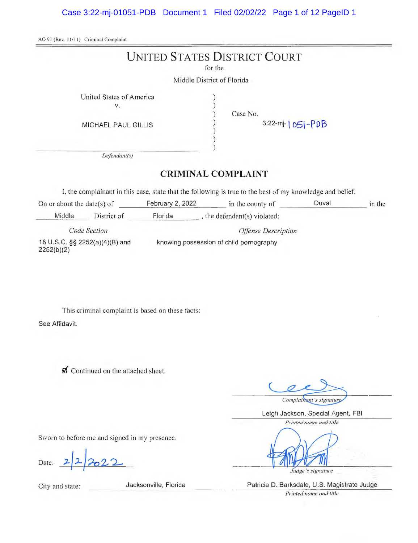Case 3:22-mj-01051-PDB Document 1 Filed 02/02/22 Page 1 of 12 PageID 1

AO 91 (Rev. 11/11) Criminal Complaint

## UNITED STATES DISTRICT COURT

for the

Middle District of Florida

) ) ) ) ) ) )

United States of America V.

MICHAEL PAUL GILLIS

Case No.

3:22-mi- I o5\-PDB

*Defendanr(s)* 

## **CRIMINAL COMPLAINT**

I, the complainant in this case, state that the following is true to the best of my knowledge and belief.

| On or about the date(s) of     |             | February 2, 2022                        | in the county of           | Duval | in the |
|--------------------------------|-------------|-----------------------------------------|----------------------------|-------|--------|
| Middle                         | District of | Florida                                 | the defendant(s) violated: |       |        |
| Code Section                   |             | <b>Offense</b> Description              |                            |       |        |
| 18 U.S.C. §§ 2252(a)(4)(B) and |             | knowing possession of child pornography |                            |       |        |

This criminal complaint is based on these facts:

See Affidavit.

2252(b)(2)

**f** Continued on the attached sheet.

Complainant's signature

Leigh Jackson, Special Agent, FBI *Printed name and title* 

Sworn to before me and signed in my presence.

Date:

Judge's signature

City and state: Jacksonville, Florida Patricia D. Barksdale, U.S. Magistrate Judge *Printed name and title*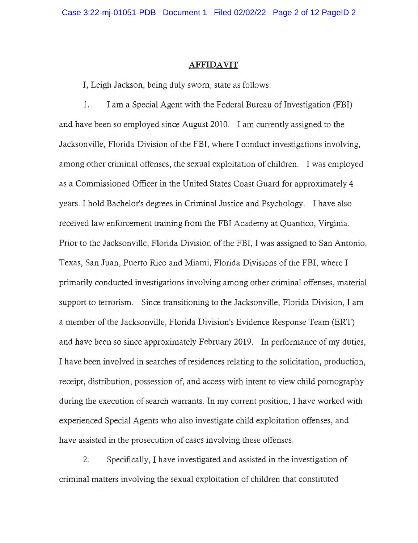## **AFFIDAVIT**

I, Leigh Jackson, being duly sworn, state as follows:

1. I am a Special Agent with the Federal Bureau of Investigation (FBI) and have been so employed since August 2010. I am currently assigned to the Jacksonville, Florida Division of the FBI, where I conduct investigations involving, among other criminal offenses, the sexual exploitation of children. I was employed as a Commissioned Officer in the United States Coast Guard for approximately 4 years. I hold Bachelor's degrees in Criminal Justice and Psychology. I have also received law enforcement training from the FBI Academy at Quantico, Virginia. Prior to the Jacksonville, Florida Division of the FBI, I was assigned to San Antonio, Texas, San Juan, Puerto Rico and Miami, Florida Divisions of the FBI, where I primarily conducted investigations involving among other criminal offenses, material support to terrorism. Since transitioning to the Jacksonville, Florida Division, I am a member of the Jacksonville, Florida Division's Evidence Response Team (ERT) and have been so since approximately February 2019. In performance of my duties, I have been involved in searches of residences relating to the solicitation, production, receipt, distribution, possession of, and access with intent to view child pornography during the execution of search warrants. In my current position, I have worked with experienced Special Agents who also investigate child exploitation offenses, and have assisted in the prosecution of cases involving these offenses.

2. Specifically, I have investigated and assisted in the investigation of criminal matters involving the sexual exploitation of children that constituted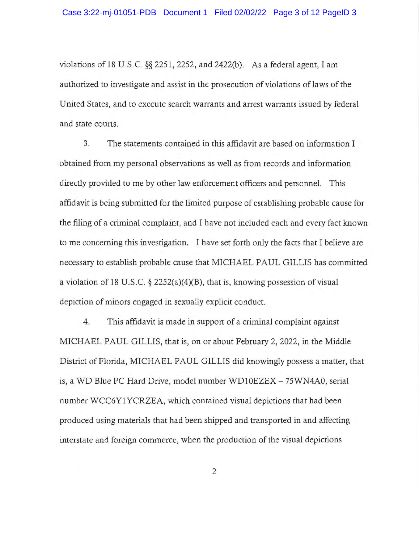violations of 18 U.S.C. §§ 2251, 2252, and 2422(b). As a federal agent, I am authorized to investigate and assist in the prosecution of violations of laws of the United States, and to execute search warrants and arrest warrants issued by federal and state courts.

3. The statements contained in this affidavit are based on information I obtained from my personal observations as well as from records and information directly provided to me by other law enforcement officers and personnel. This affidavit is being submitted for the limited purpose of establishing probable cause for the filing of a criminal complaint, and I have not included each and every fact known to me concerning this investigation. I have set forth only the facts that I believe are necessary to establish probable cause that MICHAEL PAUL GILLIS has committed a violation of 18 U.S.C. § 2252(a)(4)(B), that is, knowing possession of visual depiction of minors engaged in sexually explicit conduct.

4. This affidavit is made in support of a criminal complaint against MICHAEL PAUL GILLIS, that is, on or about February 2, 2022, in the Middle District of Florida, MICHAEL PAUL GILLIS did knowingly possess a matter, that is, a WD Blue PC Hard Drive, model number WD10EZEX - 75WN4A0, serial number WCC6Yl YCRZEA, which contained visual depictions that had been produced using materials that had been shipped and transported in and affecting interstate and foreign commerce, when the production of the visual depictions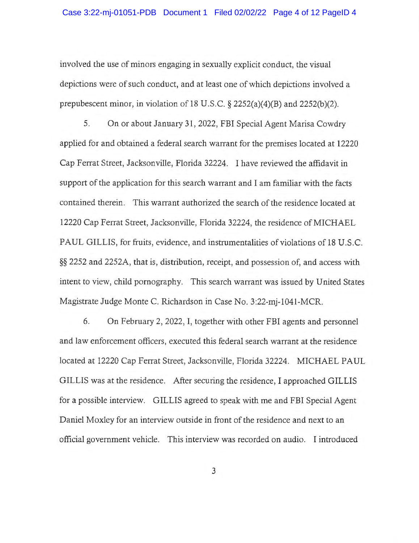involved the use of minors engaging in sexually explicit conduct, the visual depictions were of such conduct, and at least one of which depictions involved a prepubescent minor, in violation of 18 U.S.C. § 2252(a)(4)(B) and 2252(b)(2).

5. On or about January 31, 2022, FBI Special Agent Marisa Cowdry applied for and obtained a federal search warrant for the premises located at 12220 Cap Ferrat Street, Jacksonville, Florida 32224. I have reviewed the affidavit in support of the application for this search warrant and I am familiar with the facts contained therein. This warrant authorized the search of the residence located at 12220 Cap Ferrat Street, Jacksonville, Florida 32224, the residence of MICHAEL PAUL GILLIS, for fruits, evidence, and instrumentalities of violations of 18 U.S.C. §§ 2252 and 2252A, that is, distribution, receipt, and possession of, and access with intent to view, child pornography. This search warrant was issued by United States Magistrate Judge Monte C. Richardson in Case No. 3:22-mj-1041-MCR.

6. On February 2, 2022, I, together with other FBI agents and personnel and law enforcement officers, executed this federal search warrant at the residence located at 12220 Cap Ferrat Street, Jacksonville, Florida 32224. MICHAEL PAUL GILLIS was at the residence. After securing the residence, I approached GILLIS for a possible interview. GILLIS agreed to speak with me and FBI Special Agent Daniel Moxley for an interview outside in front of the residence and next to an official government vehicle. This interview was recorded on audio. I introduced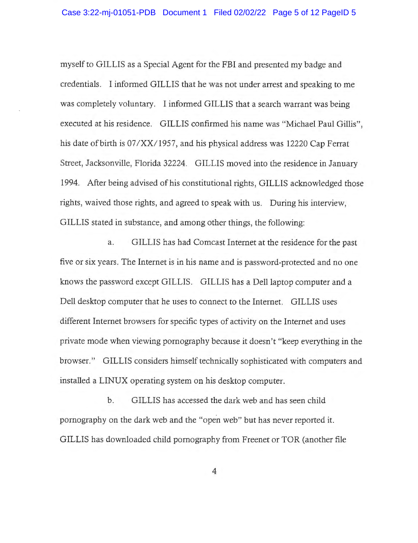myself to GILLIS as a Special Agent for the FBI and presented my badge and credentials. I informed GILLIS that he was not under arrest and speaking to me was completely voluntary. I informed GILLIS that a search warrant was being executed at his residence. GILLIS confirmed his name was "Michael Paul Gillis", his date of birth is 07/XX/1957, and his physical address was 12220 Cap Ferrat Street, Jacksonville, Florida 32224. GILLIS moved into the residence in January 1994. After being advised of his constitutional rights, GILLIS acknowledged those rights, waived those rights, and agreed to speak with us. During his interview, GILLIS stated in substance, and among other things, the following:

a. GILLIS has had Comcast Internet at the residence for the past five or six years. The Internet is in his name and is password-protected and no one knows the password except GILLIS. GILLIS has a Dell laptop computer and a Dell desktop computer that he uses to connect to the Internet. GILLIS uses different Internet browsers for specific types of activity on the Internet and uses private mode when viewing pornography because it doesn't "keep everything in the browser." GILLIS considers himself technically sophisticated with computers and installed a LINUX operating system on his desktop computer.

b. GILLIS has accessed the dark web and has seen child pornography on the dark web and the "open web" but has never reported it. GILLIS has downloaded child pornography from Freenet or TOR (another file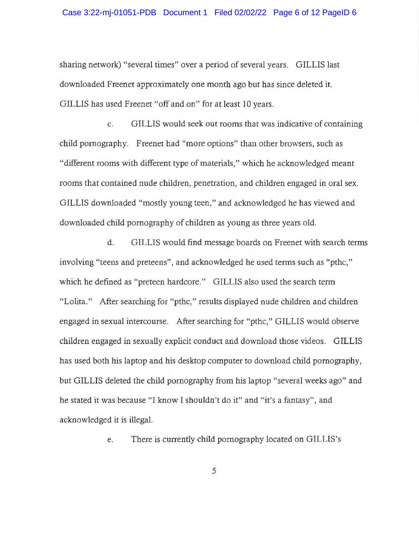## Case 3:22-mj-01051-PDB Document 1 Filed 02/02/22 Page 6 of 12 PageID 6

sharing network) "several times" over a period of several years. GILLIS last downloaded Freenet approximately one month ago but has since deleted it. GILLIS has used Freenet "off and on" for at least 10 years.

c. GILLIS would seek out rooms that was indicative of containing child pornography. Freenet had "more options" than other browsers, such as "different rooms with different type of materials," which he acknowledged meant rooms that contained nude children, penetration, and children engaged in oral sex. GILLIS downloaded "mostly young teen," and acknowledged he has viewed and downloaded child pornography of children as young as three years old.

d. GILLIS would find message boards on Freenet with search terms involving "teens and preteens", and acknowledged he used terms such as "pthc," which he defined as "preteen hardcore." GILLIS also used the search term "Lolita." After searching for "pthc," results displayed nude children and children engaged in sexual intercourse. After searching for "pthc," GILLIS would observe children engaged in sexually explicit conduct and download those videos. GILLIS has used both his laptop and his desktop computer to download child pornography, but GILLIS deleted the child pornography from his laptop "several weeks ago" and he stated it was because "I know I shouldn't do it" and "it's a fantasy", and acknowledged it is illegal.

e. There is currently child pornography located on GILLIS's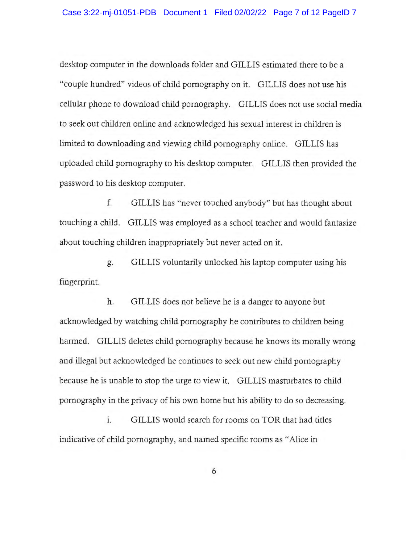desktop computer in the downloads folder and GILLIS estimated there to be a "couple hundred" videos of child pornography on it. GILLIS does not use his cellular phone to download child pornography. GILLIS does not use social media to seek out children online and acknowledged his sexual interest in children is limited to downloading and viewing child pornography online. GILLIS has uploaded child pornography to his desktop computer. GILLIS then provided the password to his desktop computer.

f. GILLIS has "never touched anybody" but has thought about touching a child. GILLIS was employed as a school teacher and would fantasize about touching children inappropriately but never acted on it.

g. GILLIS voluntarily unlocked his laptop computer using his fingerprint.

h. GILLIS does not believe he is a danger to anyone but acknowledged by watching child pornography he contributes to children being harmed. GILLIS deletes child pornography because he knows its morally wrong and illegal but acknowledged he continues to seek out new child pornography because he is unable to stop the urge to view it. GILLIS masturbates to child pornography in the privacy of his own home but his ability to do so decreasing.

i. GILLIS would search for rooms on TOR that had titles indicative of child pornography, and named specific rooms as "Alice in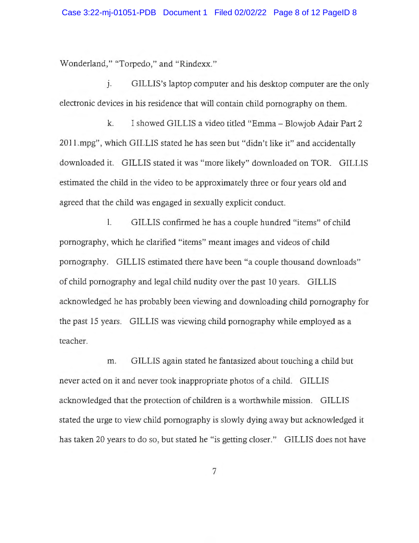Wonderland," "Torpedo," and "Rindexx."

j. GILLIS's laptop computer and his desktop computer are the only electronic devices in *his* residence that will contain child pornography on them.

k. I showed GILLIS a video titled "Emma - Blowjob Adair Part 2 2011.mpg", which GILLIS stated he has seen but "didn't like it" and accidentally downloaded it. GILLIS stated it was "more likely" downloaded on TOR. GILLIS estimated the child in the video to be approximately three or four years old and agreed that the child was engaged in sexually explicit conduct.

1. GILLIS confirmed he has a couple hundred "items" of child pornography, which he clarified "items" meant images and videos of child pornography. GILLIS estimated there have been "a couple thousand downloads" of child pornography and legal child nudity over the past 10 years. GILLIS acknowledged he has probably been viewing and downloading child pornography for the past 15 years. GILLIS was viewing child pornography while employed as a teacher.

m. GILLIS again stated he fantasized about touching a child but never acted on it and never took inappropriate photos of a child. GILLIS acknowledged that the protection of children is a worthwhile mission. GILLIS stated the urge to view child pornography is slowly dying away but acknowledged it has taken 20 years to do so, but stated he "is getting closer." GILLIS does not have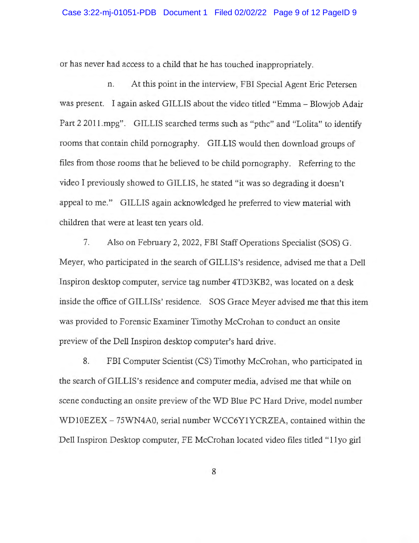or has never had access to a child that he has touched inappropriately.

n. At this point in the interview, FBI Special Agent Eric Petersen was present. I again asked GILLIS about the video titled "Emma - Blowjob Adair Part 2 2011.mpg". GILLIS searched terms such as "pthc" and "Lolita" to identify rooms that contain child pornography. GILLIS would then download groups of files from those rooms that he believed to be child pornography. Referring to the video I previously showed to GILLIS, he stated "it was so degrading it doesn't appeal to me." GILLIS again acknowledged he preferred to view material with children that were at least ten years old.

7. Also on February 2, 2022, FBI Staff Operations Specialist (SOS) G. Meyer, who participated in the search of GILLIS 's residence, advised me that a Dell Inspiron desktop computer, service tag number 4TD3KB2, was located on a desk inside the office of GILLISs' residence. SOS Grace Meyer advised me that this item was provided to Forensic Examiner Timothy McCrohan to conduct an onsite preview of the Dell Inspiron desktop computer's hard drive.

8. FBI Computer Scientist (CS) Timothy McCrohan, who participated in the search of GILLIS's residence and computer media, advised me that while on scene conducting an onsite preview of the WD Blue PC Hard Drive, model number WDlOEZEX - 75WN4A0, serial number WCC6YlYCRZEA, contained within the Dell Inspiron Desktop computer, FE McCrohan located video files titled "11yo girl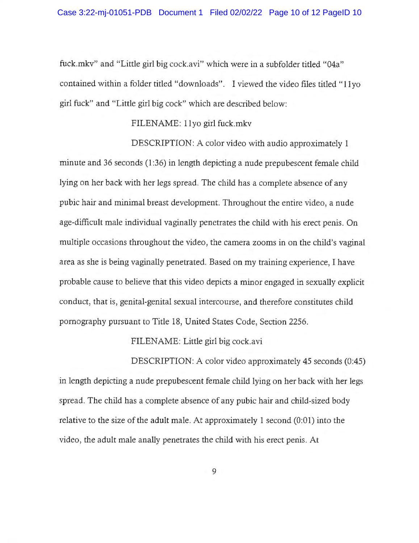fuck.rnkv" and "Little girl big cock.avi" which were in a subfolder titled "04a" contained within a folder titled "downloads". I viewed the video files titled "11 yo girl fuck" and "Little girl big cock" which are described below:

FILENAME: 11yo girl fuck.mky

DESCRJPTION: A color video with audio approximately 1 minute and 36 seconds (1:36) in length depicting a nude prepubescent female child lying on her back with her legs spread. The child has a complete absence of any pubic hair and minimal breast development. Throughout the entire video, a nude age-difficult male individual vaginally penetrates the child with his erect penis. On multiple occasions throughout the video, the camera zooms in on the child's vaginal area as she is being vaginally penetrated. Based on my training experience, I have probable cause to believe that this video depicts a minor engaged in sexually explicit conduct, that is, genital-genital sexual intercourse, and therefore constitutes child pornography pursuant to Title 18, United States Code, Section 2256.

FILENAME: Little girl big cock.avi

DESCRJPTION: A color video approximately 45 seconds (0:45) in length depicting a nude prepubescent female child lying on her back with her legs spread. The child has a complete absence of any pubic hair and child-sized body relative to the size of the adult male. At approximately 1 second (0:01) into the video, the adult male anally penetrates the child with his erect penis. At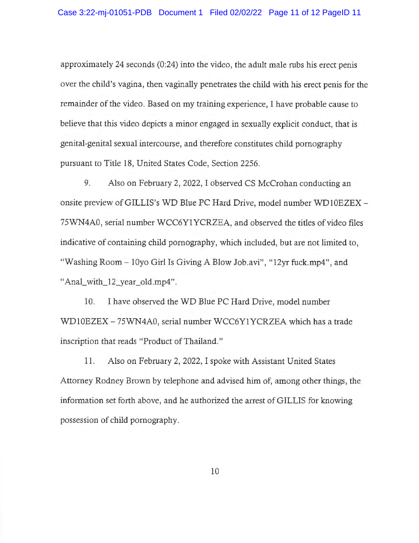approximately 24 seconds (0:24) into the video, the adult male rubs his erect penis over the child's vagina, then vaginally penetrates the child with his erect penis for the remainder of the video. Based on my training experience, I have probable cause to believe that this video depicts a minor engaged in sexually explicit conduct, that is genital-genital sexual intercourse, and therefore constitutes child pornography pursuant to Title 18, United States Code, Section 2256.

9. Also on February 2, 2022, I observed CS McCrohan conducting an onsite preview of GILLIS's WD Blue PC Hard Drive, model number WD10EZEX-75WN4A0, serial number WCC6Yl YCRZEA, and observed the titles of video files indicative of containing child pornography, which included, but are not limited to, "Washing Room - lOyo Girl Is Giving A Blow Job.avi", "12yr fuck.mp4", and "Anal\_with\_12\_year\_old.mp4".

10. I have observed the WD Blue PC Hard Drive, model number WDlOEZEX- 75WN4A0, serial number WCC6YIYCRZEA which has a trade inscription that reads "Product of Thailand."

11. Also on February 2, 2022, I spoke with Assistant United States Attorney Rodney Brown by telephone and advised him of, among other things, the information set forth above, and he authorized the arrest of GILLIS for knowing possession of child pornography.